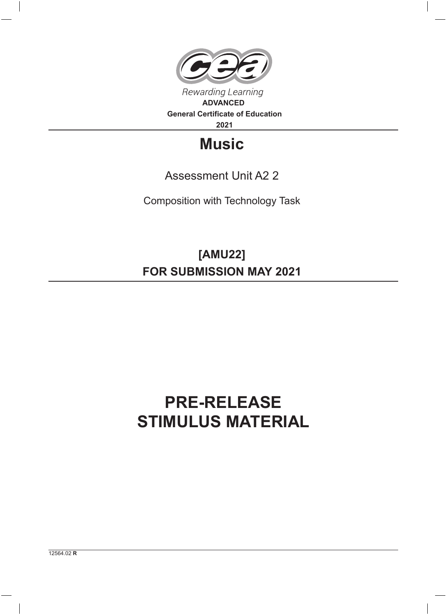

**2021**

## **Music**

## Assessment Unit A2 2

Composition with Technology Task

**[AMU22] FOR SUBMISSION MAY 2021**

## **PRE-RELEASE STIMULUS MATERIAL**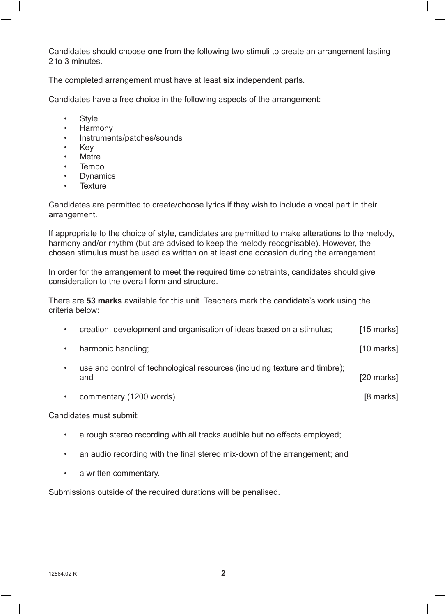Candidates should choose **one** from the following two stimuli to create an arrangement lasting 2 to 3 minutes.

The completed arrangement must have at least **six** independent parts.

Candidates have a free choice in the following aspects of the arrangement:

- Style
- Harmony
- Instruments/patches/sounds
- Key
- **Metre**
- Tempo
- **Dynamics**
- Texture

Candidates are permitted to create/choose lyrics if they wish to include a vocal part in their arrangement.

If appropriate to the choice of style, candidates are permitted to make alterations to the melody, harmony and/or rhythm (but are advised to keep the melody recognisable). However, the chosen stimulus must be used as written on at least one occasion during the arrangement.

In order for the arrangement to meet the required time constraints, candidates should give consideration to the overall form and structure.

There are **53 marks** available for this unit. Teachers mark the candidate's work using the criteria below:

| creation, development and organisation of ideas based on a stimulus;              | $[15$ marks]         |
|-----------------------------------------------------------------------------------|----------------------|
| harmonic handling;                                                                | $[10 \text{ marks}]$ |
| use and control of technological resources (including texture and timbre);<br>and | [20 marks]           |

• commentary (1200 words). [8 marks]

Candidates must submit:

- a rough stereo recording with all tracks audible but no effects employed;
- an audio recording with the final stereo mix-down of the arrangement; and
- a written commentary.

Submissions outside of the required durations will be penalised.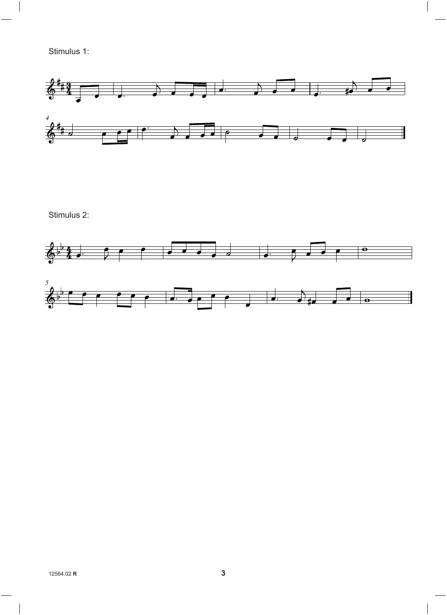Stimulus 1:



Stimulus 2: